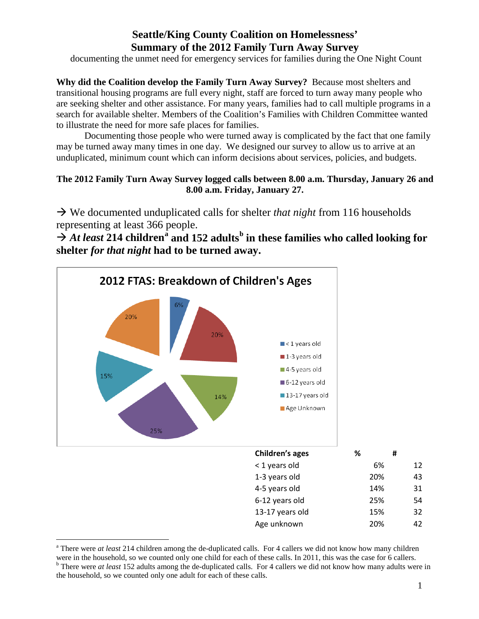# **Seattle/King County Coalition on Homelessness' Summary of the 2012 Family Turn Away Survey**

documenting the unmet need for emergency services for families during the One Night Count

**Why did the Coalition develop the Family Turn Away Survey?** Because most shelters and transitional housing programs are full every night, staff are forced to turn away many people who are seeking shelter and other assistance. For many years, families had to call multiple programs in a search for available shelter. Members of the Coalition's Families with Children Committee wanted to illustrate the need for more safe places for families.

Documenting those people who were turned away is complicated by the fact that one family may be turned away many times in one day. We designed our survey to allow us to arrive at an unduplicated, minimum count which can inform decisions about services, policies, and budgets.

# **The 2012 Family Turn Away Survey logged calls between 8.00 a.m. Thursday, January 26 and 8.00 a.m. Friday, January 27.**

 We documented unduplicated calls for shelter *that night* from 116 households representing at least 366 people.

 $\rightarrow$  $\rightarrow$  $\rightarrow$  *At least* 214 children<sup><sup>a</sup> and 152 adults<sup>[b](#page-0-1)</sup> in these families who called looking for</sup> **shelter** *for that night* **had to be turned away.** 



<span id="page-0-1"></span><span id="page-0-0"></span><sup>&</sup>lt;sup>a</sup> There were *at least* 214 children among the de-duplicated calls. For 4 callers we did not know how many children were in the household, so we counted only one child for each of these calls. In 2011, this was the case <sup>b</sup> There were *at least* 152 adults among the de-duplicated calls. For 4 callers we did not know how many adults were in the household, so we counted only one adult for each of these calls.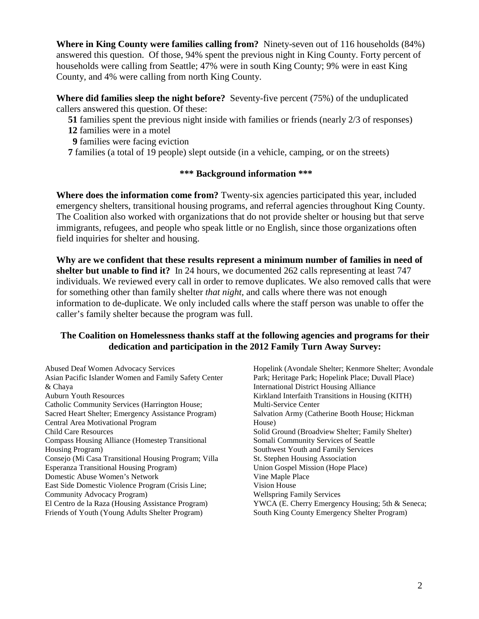**Where in King County were families calling from?** Ninety-seven out of 116 households (84%) answered this question. Of those, 94% spent the previous night in King County. Forty percent of households were calling from Seattle; 47% were in south King County; 9% were in east King County, and 4% were calling from north King County.

**Where did families sleep the night before?** Seventy-five percent (75%) of the unduplicated callers answered this question. Of these:

- **51** families spent the previous night inside with families or friends (nearly 2/3 of responses)
- **12** families were in a motel
- **9** families were facing eviction
- **7** families (a total of 19 people) slept outside (in a vehicle, camping, or on the streets)

## **\*\*\* Background information \*\*\***

**Where does the information come from?** Twenty-six agencies participated this year, included emergency shelters, transitional housing programs, and referral agencies throughout King County. The Coalition also worked with organizations that do not provide shelter or housing but that serve immigrants, refugees, and people who speak little or no English, since those organizations often field inquiries for shelter and housing.

**Why are we confident that these results represent a minimum number of families in need of shelter but unable to find it?** In 24 hours, we documented 262 calls representing at least 747 individuals. We reviewed every call in order to remove duplicates. We also removed calls that were for something other than family shelter *that night,* and calls where there was not enough information to de-duplicate. We only included calls where the staff person was unable to offer the caller's family shelter because the program was full.

## **The Coalition on Homelessness thanks staff at the following agencies and programs for their dedication and participation in the 2012 Family Turn Away Survey:**

Abused Deaf Women Advocacy Services Asian Pacific Islander Women and Family Safety Center & Chaya Auburn Youth Resources Catholic Community Services (Harrington House; Sacred Heart Shelter; Emergency Assistance Program) Central Area Motivational Program Child Care Resources Compass Housing Alliance (Homestep Transitional Housing Program) Consejo (Mi Casa Transitional Housing Program; Villa Esperanza Transitional Housing Program) Domestic Abuse Women's Network East Side Domestic Violence Program (Crisis Line; Community Advocacy Program) El Centro de la Raza (Housing Assistance Program) Friends of Youth (Young Adults Shelter Program)

Hopelink (Avondale Shelter; Kenmore Shelter; Avondale Park; Heritage Park; Hopelink Place; Duvall Place) International District Housing Alliance Kirkland Interfaith Transitions in Housing (KITH) Multi-Service Center Salvation Army (Catherine Booth House; Hickman House) Solid Ground (Broadview Shelter; Family Shelter) Somali Community Services of Seattle Southwest Youth and Family Services St. Stephen Housing Association Union Gospel Mission (Hope Place) Vine Maple Place Vision House Wellspring Family Services YWCA (E. Cherry Emergency Housing; 5th & Seneca; South King County Emergency Shelter Program)